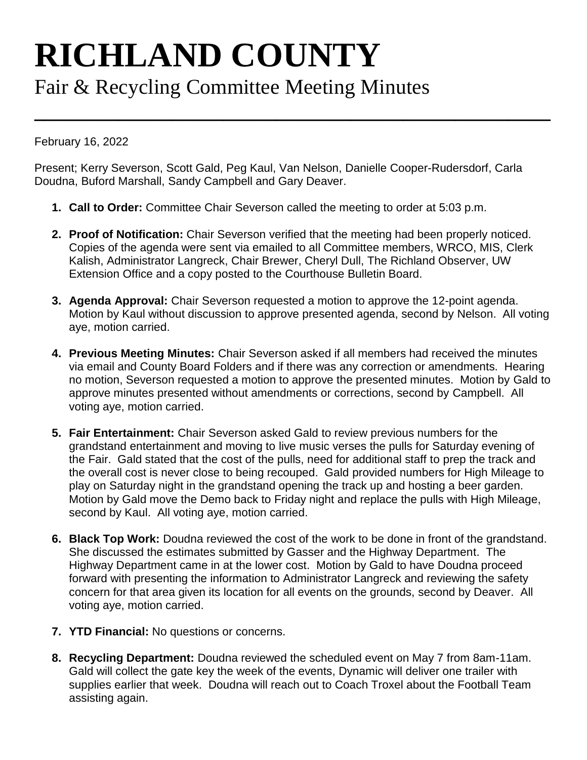## **RICHLAND COUNTY** Fair & Recycling Committee Meeting Minutes

February 16, 2022

Present; Kerry Severson, Scott Gald, Peg Kaul, Van Nelson, Danielle Cooper-Rudersdorf, Carla Doudna, Buford Marshall, Sandy Campbell and Gary Deaver.

**\_\_\_\_\_\_\_\_\_\_\_\_\_\_\_\_\_\_\_\_\_\_\_\_\_\_\_\_\_\_\_\_\_\_\_\_\_\_\_\_\_\_\_\_\_\_\_\_\_**

- **1. Call to Order:** Committee Chair Severson called the meeting to order at 5:03 p.m.
- **2. Proof of Notification:** Chair Severson verified that the meeting had been properly noticed. Copies of the agenda were sent via emailed to all Committee members, WRCO, MIS, Clerk Kalish, Administrator Langreck, Chair Brewer, Cheryl Dull, The Richland Observer, UW Extension Office and a copy posted to the Courthouse Bulletin Board.
- **3. Agenda Approval:** Chair Severson requested a motion to approve the 12-point agenda. Motion by Kaul without discussion to approve presented agenda, second by Nelson. All voting aye, motion carried.
- **4. Previous Meeting Minutes:** Chair Severson asked if all members had received the minutes via email and County Board Folders and if there was any correction or amendments. Hearing no motion, Severson requested a motion to approve the presented minutes. Motion by Gald to approve minutes presented without amendments or corrections, second by Campbell. All voting aye, motion carried.
- **5. Fair Entertainment:** Chair Severson asked Gald to review previous numbers for the grandstand entertainment and moving to live music verses the pulls for Saturday evening of the Fair. Gald stated that the cost of the pulls, need for additional staff to prep the track and the overall cost is never close to being recouped. Gald provided numbers for High Mileage to play on Saturday night in the grandstand opening the track up and hosting a beer garden. Motion by Gald move the Demo back to Friday night and replace the pulls with High Mileage, second by Kaul. All voting aye, motion carried.
- **6. Black Top Work:** Doudna reviewed the cost of the work to be done in front of the grandstand. She discussed the estimates submitted by Gasser and the Highway Department. The Highway Department came in at the lower cost. Motion by Gald to have Doudna proceed forward with presenting the information to Administrator Langreck and reviewing the safety concern for that area given its location for all events on the grounds, second by Deaver. All voting aye, motion carried.
- **7. YTD Financial:** No questions or concerns.
- **8. Recycling Department:** Doudna reviewed the scheduled event on May 7 from 8am-11am. Gald will collect the gate key the week of the events, Dynamic will deliver one trailer with supplies earlier that week. Doudna will reach out to Coach Troxel about the Football Team assisting again.